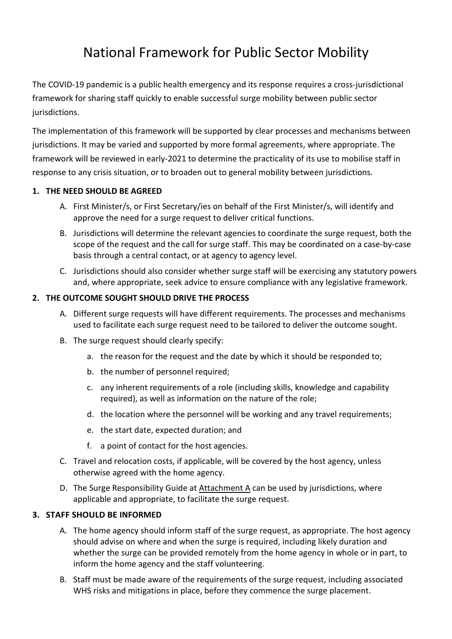# National Framework for Public Sector Mobility

The COVID-19 pandemic is a public health emergency and its response requires a cross-jurisdictional framework for sharing staff quickly to enable successful surge mobility between public sector jurisdictions.

The implementation of this framework will be supported by clear processes and mechanisms between jurisdictions. It may be varied and supported by more formal agreements, where appropriate. The framework will be reviewed in early-2021 to determine the practicality of its use to mobilise staff in response to any crisis situation, or to broaden out to general mobility between jurisdictions.

# **1. THE NEED SHOULD BE AGREED**

- A. First Minister/s, or First Secretary/ies on behalf of the First Minister/s, will identify and approve the need for a surge request to deliver critical functions.
- B. Jurisdictions will determine the relevant agencies to coordinate the surge request, both the scope of the request and the call for surge staff. This may be coordinated on a case-by-case basis through a central contact, or at agency to agency level.
- C. Jurisdictions should also consider whether surge staff will be exercising any statutory powers and, where appropriate, seek advice to ensure compliance with any legislative framework.

## **2. THE OUTCOME SOUGHT SHOULD DRIVE THE PROCESS**

- A. Different surge requests will have different requirements. The processes and mechanisms used to facilitate each surge request need to be tailored to deliver the outcome sought.
- B. The surge request should clearly specify:
	- a. the reason for the request and the date by which it should be responded to;
	- b. the number of personnel required;
	- c. any inherent requirements of a role (including skills, knowledge and capability required), as well as information on the nature of the role;
	- d. the location where the personnel will be working and any travel requirements;
	- e. the start date, expected duration; and
	- f. a point of contact for the host agencies.
- C. Travel and relocation costs, if applicable, will be covered by the host agency, unless otherwise agreed with the home agency.
- D. The Surge Responsibility Guide at Attachment A can be used by jurisdictions, where applicable and appropriate, to facilitate the surge request.

#### **3. STAFF SHOULD BE INFORMED**

- A. The home agency should inform staff of the surge request, as appropriate. The host agency should advise on where and when the surge is required, including likely duration and whether the surge can be provided remotely from the home agency in whole or in part, to inform the home agency and the staff volunteering.
- B. Staff must be made aware of the requirements of the surge request, including associated WHS risks and mitigations in place, before they commence the surge placement.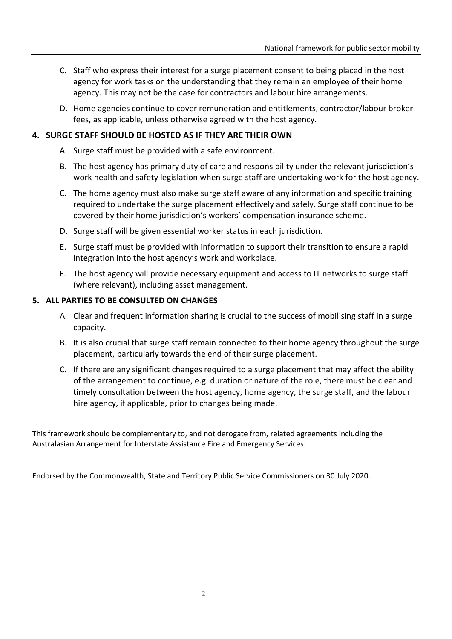- C. Staff who express their interest for a surge placement consent to being placed in the host agency for work tasks on the understanding that they remain an employee of their home agency. This may not be the case for contractors and labour hire arrangements.
- D. Home agencies continue to cover remuneration and entitlements, contractor/labour broker fees, as applicable, unless otherwise agreed with the host agency.

## **4. SURGE STAFF SHOULD BE HOSTED AS IF THEY ARE THEIR OWN**

- A. Surge staff must be provided with a safe environment.
- B. The host agency has primary duty of care and responsibility under the relevant jurisdiction's work health and safety legislation when surge staff are undertaking work for the host agency.
- C. The home agency must also make surge staff aware of any information and specific training required to undertake the surge placement effectively and safely. Surge staff continue to be covered by their home jurisdiction's workers' compensation insurance scheme.
- D. Surge staff will be given essential worker status in each jurisdiction.
- E. Surge staff must be provided with information to support their transition to ensure a rapid integration into the host agency's work and workplace.
- F. The host agency will provide necessary equipment and access to IT networks to surge staff (where relevant), including asset management.

## **5. ALL PARTIES TO BE CONSULTED ON CHANGES**

- A. Clear and frequent information sharing is crucial to the success of mobilising staff in a surge capacity.
- B. It is also crucial that surge staff remain connected to their home agency throughout the surge placement, particularly towards the end of their surge placement.
- C. If there are any significant changes required to a surge placement that may affect the ability of the arrangement to continue, e.g. duration or nature of the role, there must be clear and timely consultation between the host agency, home agency, the surge staff, and the labour hire agency, if applicable, prior to changes being made.

This framework should be complementary to, and not derogate from, related agreements including the Australasian Arrangement for Interstate Assistance Fire and Emergency Services.

Endorsed by the Commonwealth, State and Territory Public Service Commissioners on 30 July 2020.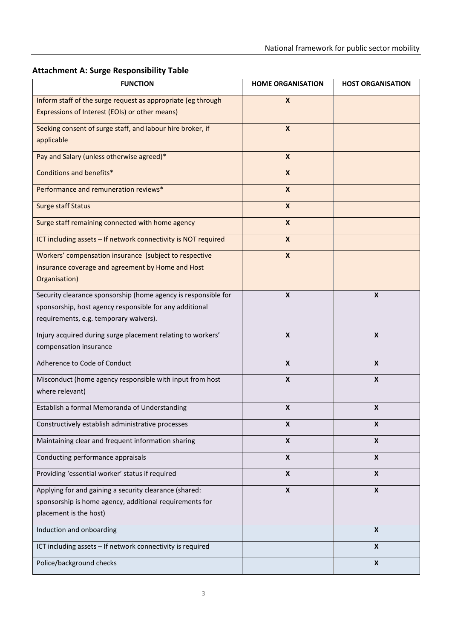| <b>Attachment A: Surge Responsibility Table</b> |
|-------------------------------------------------|
|-------------------------------------------------|

| <b>FUNCTION</b>                                                                                   | <b>HOME ORGANISATION</b>  | <b>HOST ORGANISATION</b> |
|---------------------------------------------------------------------------------------------------|---------------------------|--------------------------|
| Inform staff of the surge request as appropriate (eg through                                      | $\boldsymbol{X}$          |                          |
| Expressions of Interest (EOIs) or other means)                                                    |                           |                          |
| Seeking consent of surge staff, and labour hire broker, if                                        | $\boldsymbol{X}$          |                          |
| applicable                                                                                        |                           |                          |
| Pay and Salary (unless otherwise agreed)*                                                         | $\mathsf{x}$              |                          |
| Conditions and benefits*                                                                          | $\boldsymbol{x}$          |                          |
| Performance and remuneration reviews*                                                             | $\mathsf{x}$              |                          |
| <b>Surge staff Status</b>                                                                         | $\boldsymbol{x}$          |                          |
| Surge staff remaining connected with home agency                                                  | $\boldsymbol{x}$          |                          |
| ICT including assets - If network connectivity is NOT required                                    | $\boldsymbol{x}$          |                          |
| Workers' compensation insurance (subject to respective                                            | $\boldsymbol{x}$          |                          |
| insurance coverage and agreement by Home and Host                                                 |                           |                          |
| Organisation)                                                                                     |                           |                          |
| Security clearance sponsorship (home agency is responsible for                                    | $\boldsymbol{X}$          | $\boldsymbol{x}$         |
| sponsorship, host agency responsible for any additional<br>requirements, e.g. temporary waivers). |                           |                          |
|                                                                                                   |                           |                          |
| Injury acquired during surge placement relating to workers'<br>compensation insurance             | $\boldsymbol{\mathsf{x}}$ | X                        |
|                                                                                                   |                           |                          |
| Adherence to Code of Conduct                                                                      | $\boldsymbol{x}$          | X                        |
| Misconduct (home agency responsible with input from host                                          | $\boldsymbol{x}$          | $\mathbf{x}$             |
| where relevant)                                                                                   |                           |                          |
| Establish a formal Memoranda of Understanding                                                     | $\boldsymbol{\mathsf{x}}$ | X                        |
| Constructively establish administrative processes                                                 | X                         | X                        |
| Maintaining clear and frequent information sharing                                                | $\pmb{\mathsf{X}}$        | X                        |
| Conducting performance appraisals                                                                 | $\boldsymbol{x}$          | $\boldsymbol{x}$         |
| Providing 'essential worker' status if required                                                   | X                         | X                        |
| Applying for and gaining a security clearance (shared:                                            | $\pmb{\mathsf{X}}$        | $\pmb{\times}$           |
| sponsorship is home agency, additional requirements for                                           |                           |                          |
| placement is the host)                                                                            |                           |                          |
| Induction and onboarding                                                                          |                           | $\pmb{\mathsf{X}}$       |
| ICT including assets - If network connectivity is required                                        |                           | X                        |
| Police/background checks                                                                          |                           | $\pmb{\mathsf{X}}$       |